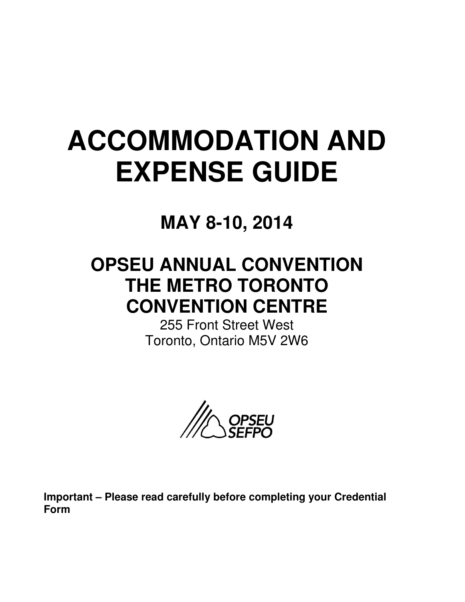# **ACCOMMODATION AND EXPENSE GUIDE**

**MAY 8-10, 2014** 

## **OPSEU ANNUAL CONVENTION THE METRO TORONTO CONVENTION CENTRE**

255 Front Street West Toronto, Ontario M5V 2W6



**Important – Please read carefully before completing your Credential Form**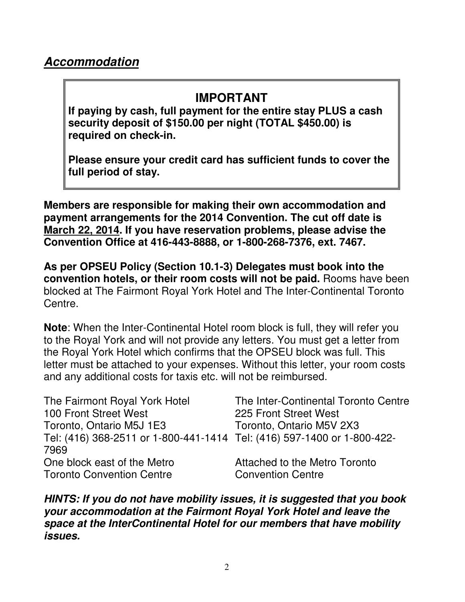## **IMPORTANT**

**If paying by cash, full payment for the entire stay PLUS a cash security deposit of \$150.00 per night (TOTAL \$450.00) is required on check-in.** 

**Please ensure your credit card has sufficient funds to cover the full period of stay.** 

**Members are responsible for making their own accommodation and payment arrangements for the 2014 Convention. The cut off date is March 22, 2014. If you have reservation problems, please advise the Convention Office at 416-443-8888, or 1-800-268-7376, ext. 7467.** 

**As per OPSEU Policy (Section 10.1-3) Delegates must book into the convention hotels, or their room costs will not be paid.** Rooms have been blocked at The Fairmont Royal York Hotel and The Inter-Continental Toronto Centre.

**Note**: When the Inter-Continental Hotel room block is full, they will refer you to the Royal York and will not provide any letters. You must get a letter from the Royal York Hotel which confirms that the OPSEU block was full. This letter must be attached to your expenses. Without this letter, your room costs and any additional costs for taxis etc. will not be reimbursed.

| The Fairmont Royal York Hotel                                           | The Inter-Continental Toronto Centre |
|-------------------------------------------------------------------------|--------------------------------------|
| 100 Front Street West                                                   | 225 Front Street West                |
| Toronto, Ontario M5J 1E3                                                | Toronto, Ontario M5V 2X3             |
| Tel: (416) 368-2511 or 1-800-441-1414 Tel: (416) 597-1400 or 1-800-422- |                                      |
| 7969                                                                    |                                      |
| One block east of the Metro                                             | Attached to the Metro Toronto        |
| <b>Toronto Convention Centre</b>                                        | <b>Convention Centre</b>             |

**HINTS: If you do not have mobility issues, it is suggested that you book your accommodation at the Fairmont Royal York Hotel and leave the space at the InterContinental Hotel for our members that have mobility issues.**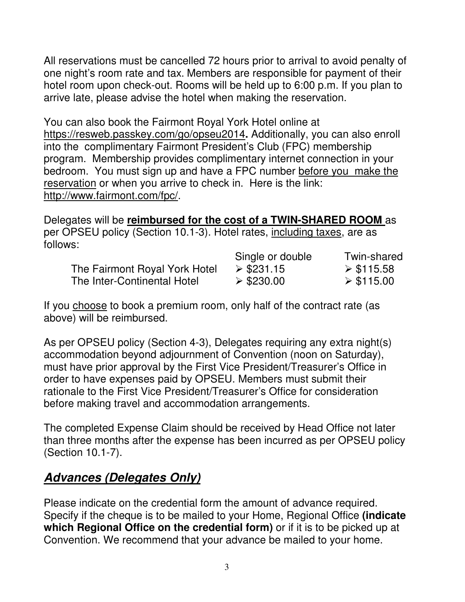All reservations must be cancelled 72 hours prior to arrival to avoid penalty of one night's room rate and tax. Members are responsible for payment of their hotel room upon check-out. Rooms will be held up to 6:00 p.m. If you plan to arrive late, please advise the hotel when making the reservation.

You can also book the Fairmont Royal York Hotel online at https://resweb.passkey.com/go/opseu2014**.** Additionally, you can also enroll into the complimentary Fairmont President's Club (FPC) membership program. Membership provides complimentary internet connection in your bedroom. You must sign up and have a FPC number before you make the reservation or when you arrive to check in. Here is the link: http://www.fairmont.com/fpc/.

Delegates will be **reimbursed for the cost of a TWIN-SHARED ROOM** as per OPSEU policy (Section 10.1-3). Hotel rates, including taxes, are as follows:

|                               | Single or double | Twin-shared               |
|-------------------------------|------------------|---------------------------|
| The Fairmont Royal York Hotel | $\geq$ \$231.15  | $\triangleright$ \$115.58 |
| The Inter-Continental Hotel   | $\geq$ \$230.00  | $\triangleright$ \$115.00 |

If you choose to book a premium room, only half of the contract rate (as above) will be reimbursed.

As per OPSEU policy (Section 4-3), Delegates requiring any extra night(s) accommodation beyond adjournment of Convention (noon on Saturday), must have prior approval by the First Vice President/Treasurer's Office in order to have expenses paid by OPSEU. Members must submit their rationale to the First Vice President/Treasurer's Office for consideration before making travel and accommodation arrangements.

The completed Expense Claim should be received by Head Office not later than three months after the expense has been incurred as per OPSEU policy (Section 10.1-7).

## **Advances (Delegates Only)**

Please indicate on the credential form the amount of advance required. Specify if the cheque is to be mailed to your Home, Regional Office **(indicate which Regional Office on the credential form)** or if it is to be picked up at Convention. We recommend that your advance be mailed to your home.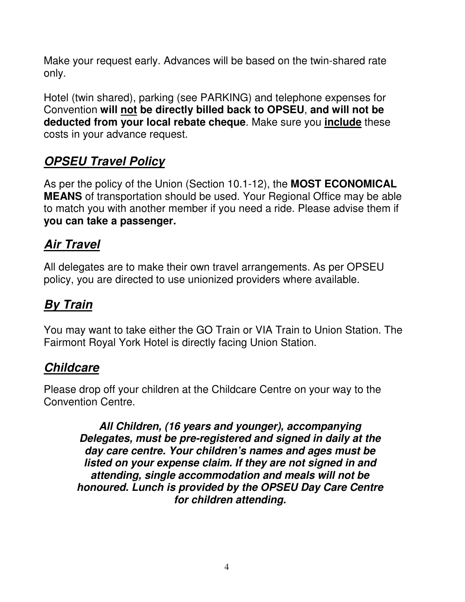Make your request early. Advances will be based on the twin-shared rate only.

Hotel (twin shared), parking (see PARKING) and telephone expenses for Convention **will not be directly billed back to OPSEU**, **and will not be deducted from your local rebate cheque**. Make sure you **include** these costs in your advance request.

## **OPSEU Travel Policy**

As per the policy of the Union (Section 10.1-12), the **MOST ECONOMICAL MEANS** of transportation should be used. Your Regional Office may be able to match you with another member if you need a ride. Please advise them if **you can take a passenger.** 

## **Air Travel**

All delegates are to make their own travel arrangements. As per OPSEU policy, you are directed to use unionized providers where available.

## **By Train**

You may want to take either the GO Train or VIA Train to Union Station. The Fairmont Royal York Hotel is directly facing Union Station.

## **Childcare**

Please drop off your children at the Childcare Centre on your way to the Convention Centre.

**All Children, (16 years and younger), accompanying Delegates, must be pre-registered and signed in daily at the day care centre. Your children's names and ages must be listed on your expense claim. If they are not signed in and attending, single accommodation and meals will not be honoured. Lunch is provided by the OPSEU Day Care Centre for children attending.**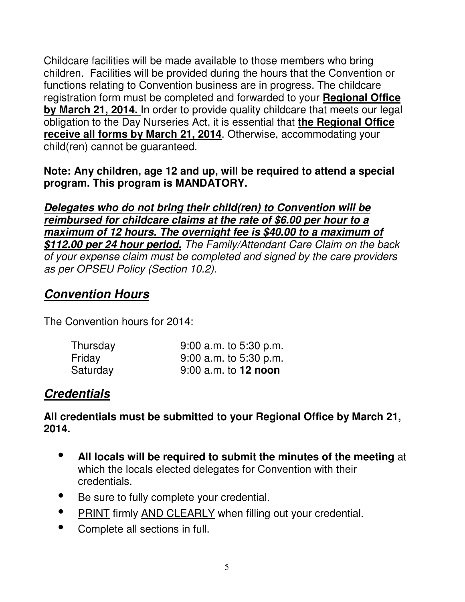Childcare facilities will be made available to those members who bring children. Facilities will be provided during the hours that the Convention or functions relating to Convention business are in progress. The childcare registration form must be completed and forwarded to your **Regional Office by March 21, 2014.** In order to provide quality childcare that meets our legal obligation to the Day Nurseries Act, it is essential that **the Regional Office receive all forms by March 21, 2014**. Otherwise, accommodating your child(ren) cannot be guaranteed.

#### **Note: Any children, age 12 and up, will be required to attend a special program. This program is MANDATORY.**

**Delegates who do not bring their child(ren) to Convention will be reimbursed for childcare claims at the rate of \$6.00 per hour to a maximum of 12 hours. The overnight fee is \$40.00 to a maximum of \$112.00 per 24 hour period.** The Family/Attendant Care Claim on the back of your expense claim must be completed and signed by the care providers as per OPSEU Policy (Section 10.2).

#### **Convention Hours**

The Convention hours for 2014:

| Thursday | $9:00$ a.m. to 5:30 p.m. |
|----------|--------------------------|
| Friday   | $9:00$ a.m. to 5:30 p.m. |
| Saturday | $9:00$ a.m. to 12 noon   |

#### **Credentials**

**All credentials must be submitted to your Regional Office by March 21, 2014.** 

- $\bullet$  **All locals will be required to submit the minutes of the meeting** at which the locals elected delegates for Convention with their credentials.
- -Be sure to fully complete your credential.
- -PRINT firmly AND CLEARLY when filling out your credential.
- -Complete all sections in full.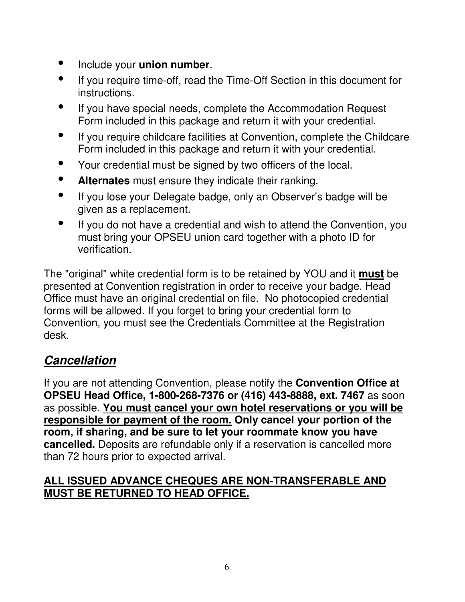- -Include your **union number**.
- $\bullet$  If you require time-off, read the Time-Off Section in this document for instructions.
- $\bullet$  If you have special needs, complete the Accommodation Request Form included in this package and return it with your credential.
- $\bullet$  If you require childcare facilities at Convention, complete the Childcare Form included in this package and return it with your credential.
- $\bullet$ Your credential must be signed by two officers of the local.
- $\bullet$ **Alternates** must ensure they indicate their ranking.
- $\bullet$  If you lose your Delegate badge, only an Observer's badge will be given as a replacement.
- $\bullet$  If you do not have a credential and wish to attend the Convention, you must bring your OPSEU union card together with a photo ID for verification.

The "original" white credential form is to be retained by YOU and it **must** be presented at Convention registration in order to receive your badge. Head Office must have an original credential on file. No photocopied credential forms will be allowed. If you forget to bring your credential form to Convention, you must see the Credentials Committee at the Registration desk.

## **Cancellation**

If you are not attending Convention, please notify the **Convention Office at OPSEU Head Office, 1-800-268-7376 or (416) 443-8888, ext. 7467** as soon as possible. **You must cancel your own hotel reservations or you will be responsible for payment of the room. Only cancel your portion of the room, if sharing, and be sure to let your roommate know you have cancelled.** Deposits are refundable only if a reservation is cancelled more than 72 hours prior to expected arrival.

#### **ALL ISSUED ADVANCE CHEQUES ARE NON-TRANSFERABLE AND MUST BE RETURNED TO HEAD OFFICE.**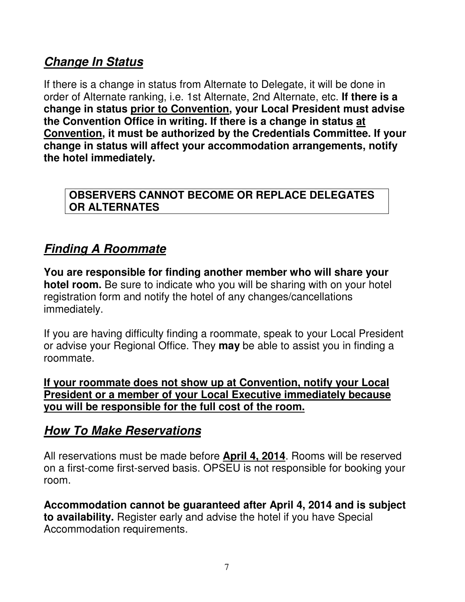## **Change In Status**

If there is a change in status from Alternate to Delegate, it will be done in order of Alternate ranking, i.e. 1st Alternate, 2nd Alternate, etc. **If there is a change in status prior to Convention, your Local President must advise the Convention Office in writing. If there is a change in status at Convention, it must be authorized by the Credentials Committee. If your change in status will affect your accommodation arrangements, notify the hotel immediately.** 

#### **OBSERVERS CANNOT BECOME OR REPLACE DELEGATES OR ALTERNATES**

## **Finding A Roommate**

**You are responsible for finding another member who will share your hotel room.** Be sure to indicate who you will be sharing with on your hotel registration form and notify the hotel of any changes/cancellations immediately.

If you are having difficulty finding a roommate, speak to your Local President or advise your Regional Office. They **may** be able to assist you in finding a roommate.

**If your roommate does not show up at Convention, notify your Local President or a member of your Local Executive immediately because you will be responsible for the full cost of the room.** 

#### **How To Make Reservations**

All reservations must be made before **April 4, 2014**. Rooms will be reserved on a first-come first-served basis. OPSEU is not responsible for booking your room.

**Accommodation cannot be guaranteed after April 4, 2014 and is subject to availability.** Register early and advise the hotel if you have Special Accommodation requirements.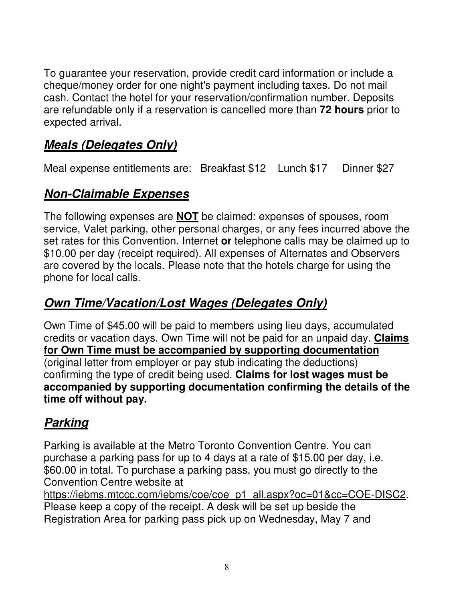To guarantee your reservation, provide credit card information or include a cheque/money order for one night's payment including taxes. Do not mail cash. Contact the hotel for your reservation/confirmation number. Deposits are refundable only if a reservation is cancelled more than **72 hours** prior to expected arrival.

## **Meals (Delegates Only)**

Meal expense entitlements are: Breakfast \$12 Lunch \$17 Dinner \$27

## **Non-Claimable Expenses**

The following expenses are **NOT** be claimed: expenses of spouses, room service, Valet parking, other personal charges, or any fees incurred above the set rates for this Convention. Internet **or** telephone calls may be claimed up to \$10.00 per day (receipt required). All expenses of Alternates and Observers are covered by the locals. Please note that the hotels charge for using the phone for local calls.

## **Own Time/Vacation/Lost Wages (Delegates Only)**

Own Time of \$45.00 will be paid to members using lieu days, accumulated credits or vacation days. Own Time will not be paid for an unpaid day. **Claims for Own Time must be accompanied by supporting documentation** (original letter from employer or pay stub indicating the deductions) confirming the type of credit being used. **Claims for lost wages must be accompanied by supporting documentation confirming the details of the time off without pay.** 

## **Parking**

Parking is available at the Metro Toronto Convention Centre. You can purchase a parking pass for up to 4 days at a rate of \$15.00 per day, i.e. \$60.00 in total. To purchase a parking pass, you must go directly to the Convention Centre website at

https://iebms.mtccc.com/iebms/coe/coe\_p1\_all.aspx?oc=01&cc=COE-DISC2. Please keep a copy of the receipt. A desk will be set up beside the Registration Area for parking pass pick up on Wednesday, May 7 and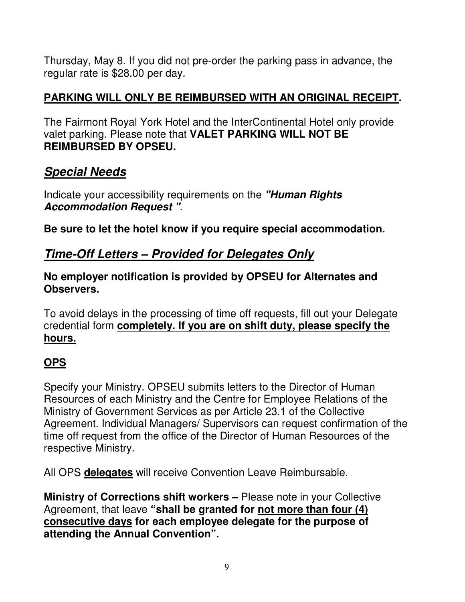Thursday, May 8. If you did not pre-order the parking pass in advance, the regular rate is \$28.00 per day.

#### **PARKING WILL ONLY BE REIMBURSED WITH AN ORIGINAL RECEIPT.**

The Fairmont Royal York Hotel and the InterContinental Hotel only provide valet parking. Please note that **VALET PARKING WILL NOT BE REIMBURSED BY OPSEU.** 

## **Special Needs**

Indicate your accessibility requirements on the **"Human Rights Accommodation Request "**.

**Be sure to let the hotel know if you require special accommodation.** 

## **Time-Off Letters – Provided for Delegates Only**

#### **No employer notification is provided by OPSEU for Alternates and Observers.**

To avoid delays in the processing of time off requests, fill out your Delegate credential form **completely. If you are on shift duty, please specify the hours.**

#### **OPS**

Specify your Ministry. OPSEU submits letters to the Director of Human Resources of each Ministry and the Centre for Employee Relations of the Ministry of Government Services as per Article 23.1 of the Collective Agreement. Individual Managers/ Supervisors can request confirmation of the time off request from the office of the Director of Human Resources of the respective Ministry.

All OPS **delegates** will receive Convention Leave Reimbursable.

**Ministry of Corrections shift workers – Please note in your Collective** Agreement, that leave **"shall be granted for not more than four (4) consecutive days for each employee delegate for the purpose of attending the Annual Convention".**